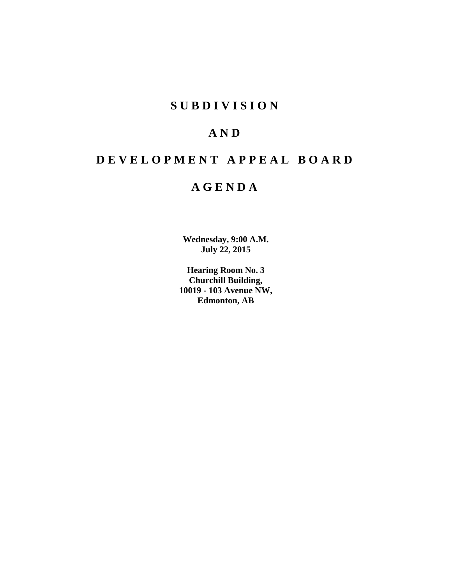# **SUBDIVISION**

# **AND**

# **DEVELOPMENT APPEAL BOARD**

# **AGENDA**

**Wednesday, 9:00 A.M. July 22, 2015**

**Hearing Room No. 3 Churchill Building, 10019 - 103 Avenue NW, Edmonton, AB**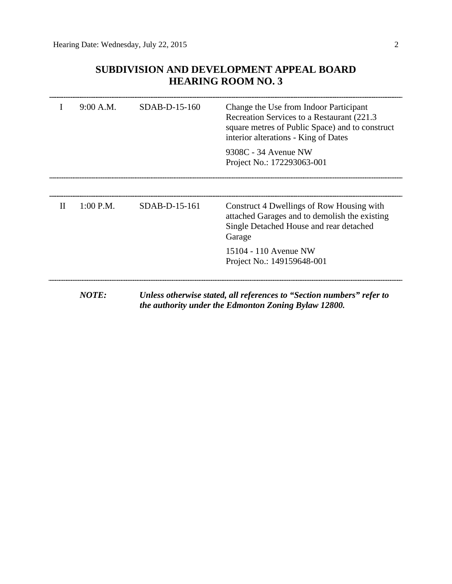# **SUBDIVISION AND DEVELOPMENT APPEAL BOARD HEARING ROOM NO. 3**

|              | 9:00 A.M.   | $SDAB-D-15-160$ | Change the Use from Indoor Participant<br>Recreation Services to a Restaurant (221.3)<br>square metres of Public Space) and to construct<br>interior alterations - King of Dates<br>9308C - 34 Avenue NW<br>Project No.: 172293063-001 |
|--------------|-------------|-----------------|----------------------------------------------------------------------------------------------------------------------------------------------------------------------------------------------------------------------------------------|
| $\mathbf{H}$ | $1:00$ P.M. | $SDAB-D-15-161$ | Construct 4 Dwellings of Row Housing with<br>attached Garages and to demolish the existing<br>Single Detached House and rear detached<br>Garage                                                                                        |
|              |             |                 | 15104 - 110 Avenue NW<br>Project No.: 149159648-001                                                                                                                                                                                    |
|              | NOTE:       |                 | Unless otherwise stated, all references to "Section numbers" refer to<br>the authority under the Edmonton Zoning Bylaw 12800.                                                                                                          |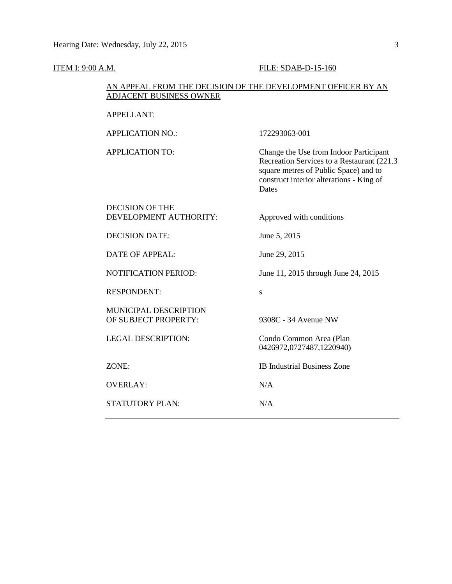#### **ITEM I: 9:00 A.M. FILE: SDAB-D-15-160**

### AN APPEAL FROM THE DECISION OF THE DEVELOPMENT OFFICER BY AN ADJACENT BUSINESS OWNER

| APPELLANT: |  |
|------------|--|
|            |  |

APPLICATION NO.: 172293063-001 APPLICATION TO: Change the Use from Indoor Participant Recreation Services to a Restaurant (221.3 square metres of Public Space) and to construct interior alterations - King of Dates DECISION OF THE DEVELOPMENT AUTHORITY: Approved with conditions DECISION DATE: June 5, 2015 DATE OF APPEAL: June 29, 2015 NOTIFICATION PERIOD: June 11, 2015 through June 24, 2015 RESPONDENT: MUNICIPAL DESCRIPTION OF SUBJECT PROPERTY: 9308C - 34 Avenue NW LEGAL DESCRIPTION: Condo Common Area (Plan 0426972,0727487,1220940) ZONE: IB Industrial Business Zone OVERLAY: N/A STATUTORY PLAN: N/A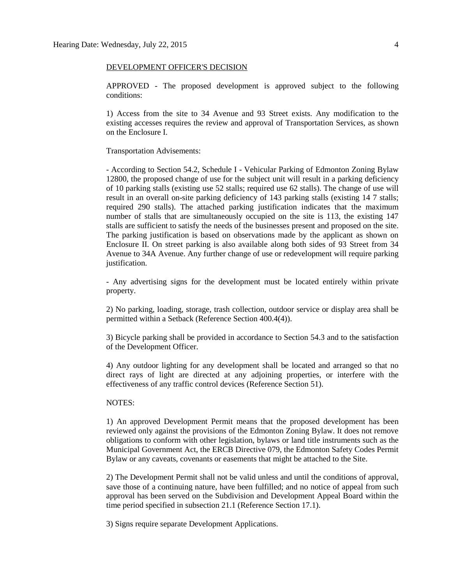#### DEVELOPMENT OFFICER'S DECISION

APPROVED - The proposed development is approved subject to the following conditions:

1) Access from the site to 34 Avenue and 93 Street exists. Any modification to the existing accesses requires the review and approval of Transportation Services, as shown on the Enclosure I.

#### Transportation Advisements:

- According to Section 54.2, Schedule I - Vehicular Parking of Edmonton Zoning Bylaw 12800, the proposed change of use for the subject unit will result in a parking deficiency of 10 parking stalls (existing use 52 stalls; required use 62 stalls). The change of use will result in an overall on-site parking deficiency of 143 parking stalls (existing 14 7 stalls; required 290 stalls). The attached parking justification indicates that the maximum number of stalls that are simultaneously occupied on the site is 113, the existing 147 stalls are sufficient to satisfy the needs of the businesses present and proposed on the site. The parking justification is based on observations made by the applicant as shown on Enclosure II. On street parking is also available along both sides of 93 Street from 34 Avenue to 34A Avenue. Any further change of use or redevelopment will require parking justification.

- Any advertising signs for the development must be located entirely within private property.

2) No parking, loading, storage, trash collection, outdoor service or display area shall be permitted within a Setback (Reference Section 400.4(4)).

3) Bicycle parking shall be provided in accordance to Section 54.3 and to the satisfaction of the Development Officer.

4) Any outdoor lighting for any development shall be located and arranged so that no direct rays of light are directed at any adjoining properties, or interfere with the effectiveness of any traffic control devices (Reference Section 51).

### NOTES:

1) An approved Development Permit means that the proposed development has been reviewed only against the provisions of the Edmonton Zoning Bylaw. It does not remove obligations to conform with other legislation, bylaws or land title instruments such as the Municipal Government Act, the ERCB Directive 079, the Edmonton Safety Codes Permit Bylaw or any caveats, covenants or easements that might be attached to the Site.

2) The Development Permit shall not be valid unless and until the conditions of approval, save those of a continuing nature, have been fulfilled; and no notice of appeal from such approval has been served on the Subdivision and Development Appeal Board within the time period specified in subsection 21.1 (Reference Section 17.1).

3) Signs require separate Development Applications.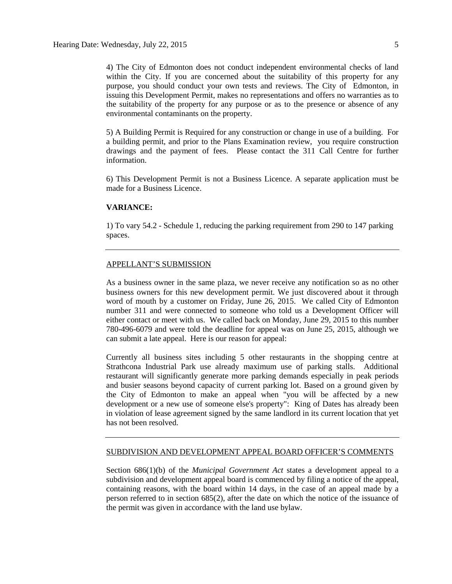4) The City of Edmonton does not conduct independent environmental checks of land within the City. If you are concerned about the suitability of this property for any purpose, you should conduct your own tests and reviews. The City of Edmonton, in issuing this Development Permit, makes no representations and offers no warranties as to the suitability of the property for any purpose or as to the presence or absence of any environmental contaminants on the property.

5) A Building Permit is Required for any construction or change in use of a building. For a building permit, and prior to the Plans Examination review, you require construction drawings and the payment of fees. Please contact the 311 Call Centre for further information.

6) This Development Permit is not a Business Licence. A separate application must be made for a Business Licence.

### **VARIANCE:**

1) To vary 54.2 - Schedule 1, reducing the parking requirement from 290 to 147 parking spaces.

### APPELLANT'S SUBMISSION

As a business owner in the same plaza, we never receive any notification so as no other business owners for this new development permit. We just discovered about it through word of mouth by a customer on Friday, June 26, 2015. We called City of Edmonton number 311 and were connected to someone who told us a Development Officer will either contact or meet with us. We called back on Monday, June 29, 2015 to this number 780-496-6079 and were told the deadline for appeal was on June 25, 2015, although we can submit a late appeal. Here is our reason for appeal:

Currently all business sites including 5 other restaurants in the shopping centre at Strathcona Industrial Park use already maximum use of parking stalls. Additional restaurant will significantly generate more parking demands especially in peak periods and busier seasons beyond capacity of current parking lot. Based on a ground given by the City of Edmonton to make an appeal when "you will be affected by a new development or a new use of someone else's property": King of Dates has already been in violation of lease agreement signed by the same landlord in its current location that yet has not been resolved.

#### SUBDIVISION AND DEVELOPMENT APPEAL BOARD OFFICER'S COMMENTS

Section 686(1)(b) of the *Municipal Government Act* states a development appeal to a subdivision and development appeal board is commenced by filing a notice of the appeal, containing reasons, with the board within 14 days, in the case of an appeal made by a person referred to in section 685(2), after the date on which the notice of the issuance of the permit was given in accordance with the land use bylaw.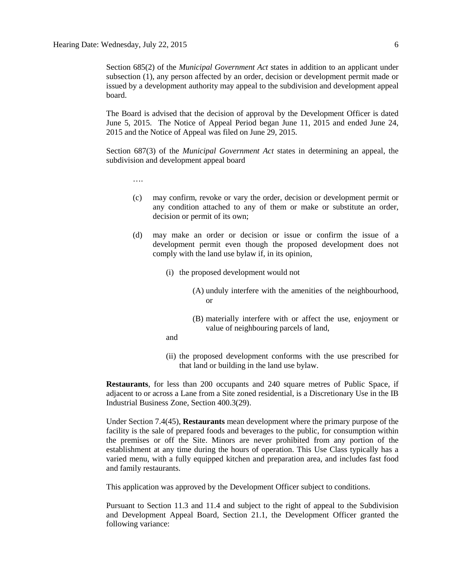Section 685(2) of the *Municipal Government Act* states in addition to an applicant under subsection (1), any person affected by an order, decision or development permit made or issued by a development authority may appeal to the subdivision and development appeal board.

The Board is advised that the decision of approval by the Development Officer is dated June 5, 2015. The Notice of Appeal Period began June 11, 2015 and ended June 24, 2015 and the Notice of Appeal was filed on June 29, 2015.

Section 687(3) of the *Municipal Government Act* states in determining an appeal, the subdivision and development appeal board

….

- (c) may confirm, revoke or vary the order, decision or development permit or any condition attached to any of them or make or substitute an order, decision or permit of its own;
- (d) may make an order or decision or issue or confirm the issue of a development permit even though the proposed development does not comply with the land use bylaw if, in its opinion,
	- (i) the proposed development would not
		- (A) unduly interfere with the amenities of the neighbourhood, or
		- (B) materially interfere with or affect the use, enjoyment or value of neighbouring parcels of land,
	- and
	- (ii) the proposed development conforms with the use prescribed for that land or building in the land use bylaw.

**Restaurants**, for less than 200 occupants and 240 square metres of Public Space, if adjacent to or across a Lane from a Site zoned residential, is a Discretionary Use in the IB Industrial Business Zone, Section 400.3(29).

Under Section 7.4(45), **Restaurants** mean development where the primary purpose of the facility is the sale of prepared foods and beverages to the public, for consumption within the premises or off the Site. Minors are never prohibited from any portion of the establishment at any time during the hours of operation. This Use Class typically has a varied menu, with a fully equipped kitchen and preparation area, and includes fast food and family restaurants.

This application was approved by the Development Officer subject to conditions.

Pursuant to Section 11.3 and 11.4 and subject to the right of appeal to the Subdivision and Development Appeal Board, Section 21.1, the Development Officer granted the following variance: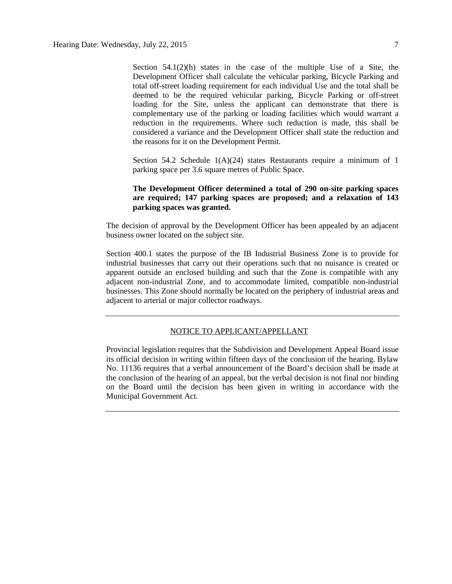Section  $54.1(2)(h)$  states in the case of the multiple Use of a Site, the Development Officer shall calculate the vehicular parking, Bicycle Parking and total off-street loading requirement for each individual Use and the total shall be deemed to be the required vehicular parking, Bicycle Parking or off-street loading for the Site, unless the applicant can demonstrate that there is complementary use of the parking or loading facilities which would warrant a reduction in the requirements. Where such reduction is made, this shall be considered a variance and the Development Officer shall state the reduction and the reasons for it on the Development Permit.

Section 54.2 Schedule  $1(A)(24)$  states Restaurants require a minimum of 1 parking space per 3.6 square metres of Public Space.

# **The Development Officer determined a total of 290 on-site parking spaces are required; 147 parking spaces are proposed; and a relaxation of 143 parking spaces was granted.**

The decision of approval by the Development Officer has been appealed by an adjacent business owner located on the subject site.

Section 400.1 states the purpose of the IB Industrial Business Zone is to provide for industrial businesses that carry out their operations such that no nuisance is created or apparent outside an enclosed building and such that the Zone is compatible with any adjacent non-industrial Zone, and to accommodate limited, compatible non-industrial businesses. This Zone should normally be located on the periphery of industrial areas and adjacent to arterial or major collector roadways.

### NOTICE TO APPLICANT/APPELLANT

Provincial legislation requires that the Subdivision and Development Appeal Board issue its official decision in writing within fifteen days of the conclusion of the hearing. Bylaw No. 11136 requires that a verbal announcement of the Board's decision shall be made at the conclusion of the hearing of an appeal, but the verbal decision is not final nor binding on the Board until the decision has been given in writing in accordance with the Municipal Government Act.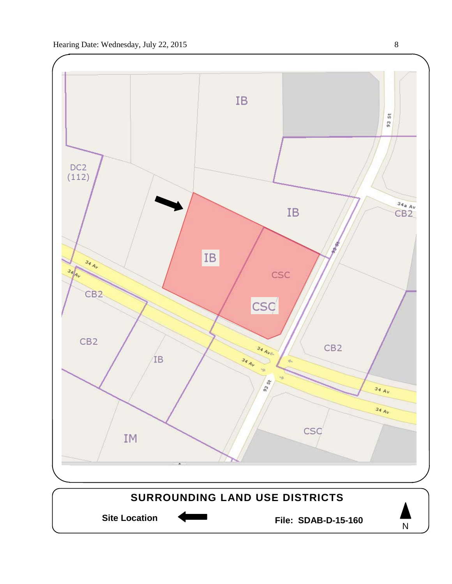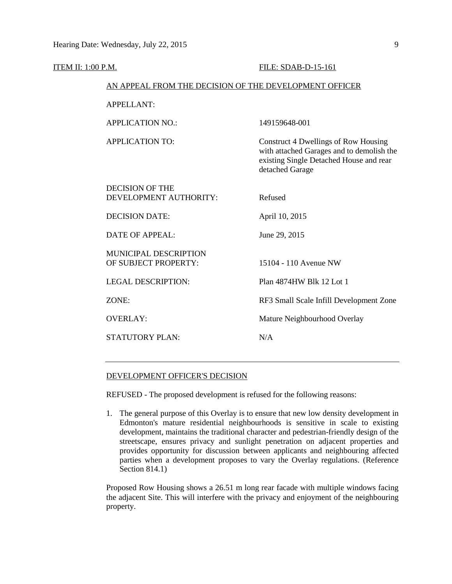| ITEM II: 1:00 P.M.      |                                                      | FILE: SDAB-D-15-161                                                                                                                             |  |
|-------------------------|------------------------------------------------------|-------------------------------------------------------------------------------------------------------------------------------------------------|--|
|                         |                                                      | AN APPEAL FROM THE DECISION OF THE DEVELOPMENT OFFICER                                                                                          |  |
| <b>APPELLANT:</b>       |                                                      |                                                                                                                                                 |  |
| <b>APPLICATION NO.:</b> |                                                      | 149159648-001                                                                                                                                   |  |
| <b>APPLICATION TO:</b>  |                                                      | Construct 4 Dwellings of Row Housing<br>with attached Garages and to demolish the<br>existing Single Detached House and rear<br>detached Garage |  |
| <b>DECISION OF THE</b>  | DEVELOPMENT AUTHORITY:                               | Refused                                                                                                                                         |  |
| <b>DECISION DATE:</b>   |                                                      | April 10, 2015                                                                                                                                  |  |
| <b>DATE OF APPEAL:</b>  |                                                      | June 29, 2015                                                                                                                                   |  |
|                         | <b>MUNICIPAL DESCRIPTION</b><br>OF SUBJECT PROPERTY: | 15104 - 110 Avenue NW                                                                                                                           |  |
|                         | <b>LEGAL DESCRIPTION:</b>                            | Plan 4874HW Blk 12 Lot 1                                                                                                                        |  |
| ZONE:                   |                                                      | RF3 Small Scale Infill Development Zone                                                                                                         |  |
| <b>OVERLAY:</b>         |                                                      | Mature Neighbourhood Overlay                                                                                                                    |  |
| STATUTORY PLAN:         |                                                      | N/A                                                                                                                                             |  |
|                         |                                                      |                                                                                                                                                 |  |

### DEVELOPMENT OFFICER'S DECISION

REFUSED - The proposed development is refused for the following reasons:

1. The general purpose of this Overlay is to ensure that new low density development in Edmonton's mature residential neighbourhoods is sensitive in scale to existing development, maintains the traditional character and pedestrian-friendly design of the streetscape, ensures privacy and sunlight penetration on adjacent properties and provides opportunity for discussion between applicants and neighbouring affected parties when a development proposes to vary the Overlay regulations. (Reference Section 814.1)

Proposed Row Housing shows a 26.51 m long rear facade with multiple windows facing the adjacent Site. This will interfere with the privacy and enjoyment of the neighbouring property.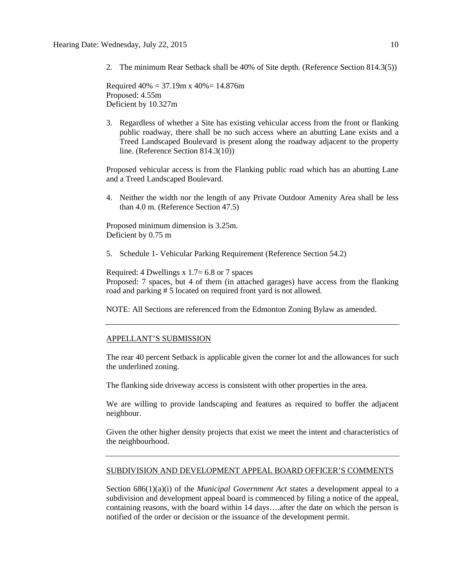2. The minimum Rear Setback shall be 40% of Site depth. (Reference Section 814.3(5))

Required  $40\% = 37.19$ m x  $40\% = 14.876$ m Proposed: 4.55m Deficient by 10.327m

3. Regardless of whether a Site has existing vehicular access from the front or flanking public roadway, there shall be no such access where an abutting Lane exists and a Treed Landscaped Boulevard is present along the roadway adjacent to the property line. (Reference Section 814.3(10))

Proposed vehicular access is from the Flanking public road which has an abutting Lane and a Treed Landscaped Boulevard.

4. Neither the width nor the length of any Private Outdoor Amenity Area shall be less than 4.0 m. (Reference Section 47.5)

Proposed minimum dimension is 3.25m. Deficient by 0.75 m

5. Schedule 1- Vehicular Parking Requirement (Reference Section 54.2)

Required: 4 Dwellings x 1.7= 6.8 or 7 spaces Proposed: 7 spaces, but 4 of them (in attached garages) have access from the flanking road and parking # 5 located on required front yard is not allowed.

NOTE: All Sections are referenced from the Edmonton Zoning Bylaw as amended.

#### APPELLANT'S SUBMISSION

The rear 40 percent Setback is applicable given the corner lot and the allowances for such the underlined zoning.

The flanking side driveway access is consistent with other properties in the area.

We are willing to provide landscaping and features as required to buffer the adjacent neighbour.

Given the other higher density projects that exist we meet the intent and characteristics of the neighbourhood.

### SUBDIVISION AND DEVELOPMENT APPEAL BOARD OFFICER'S COMMENTS

Section 686(1)(a)(i) of the *Municipal Government Act* states a development appeal to a subdivision and development appeal board is commenced by filing a notice of the appeal, containing reasons, with the board within 14 days….after the date on which the person is notified of the order or decision or the issuance of the development permit.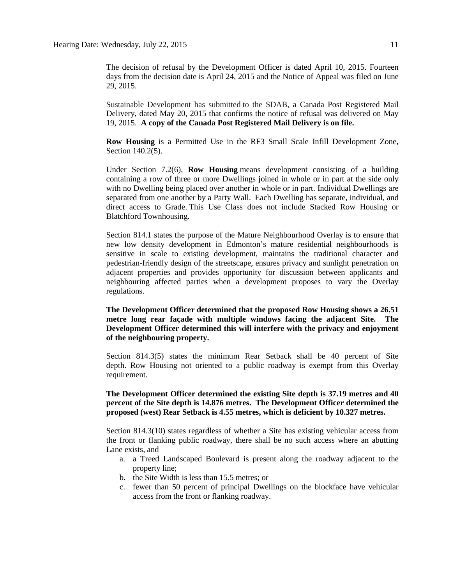The decision of refusal by the Development Officer is dated April 10, 2015. Fourteen days from the decision date is April 24, 2015 and the Notice of Appeal was filed on June 29, 2015.

Sustainable Development has submitted to the SDAB, a Canada Post Registered Mail Delivery, dated May 20, 2015 that confirms the notice of refusal was delivered on May 19, 2015. **A copy of the Canada Post Registered Mail Delivery is on file.**

**Row Housing** is a Permitted Use in the RF3 Small Scale Infill Development Zone, Section 140.2(5).

Under Section 7.2(6), **Row Housing** means development consisting of a building containing a row of three or more Dwellings joined in whole or in part at the side only with no Dwelling being placed over another in whole or in part. Individual Dwellings are separated from one another by a Party Wall. Each Dwelling has separate, individual, and direct access to Grade. This Use Class does not include Stacked Row Housing or Blatchford Townhousing.

Section 814.1 states the purpose of the Mature Neighbourhood Overlay is to ensure that new low density development in Edmonton's mature residential neighbourhoods is sensitive in scale to existing development, maintains the traditional character and pedestrian-friendly design of the streetscape, ensures privacy and sunlight penetration on adjacent properties and provides opportunity for discussion between applicants and neighbouring affected parties when a development proposes to vary the Overlay regulations.

**The Development Officer determined that the proposed Row Housing shows a 26.51 metre long rear façade with multiple windows facing the adjacent Site. The Development Officer determined this will interfere with the privacy and enjoyment of the neighbouring property.**

Section 814.3(5) states the minimum Rear Setback shall be 40 percent of Site depth. Row Housing not oriented to a public roadway is exempt from this Overlay requirement.

**The Development Officer determined the existing Site depth is 37.19 metres and 40 percent of the Site depth is 14.876 metres. The Development Officer determined the proposed (west) Rear Setback is 4.55 metres, which is deficient by 10.327 metres.**

Section 814.3(10) states regardless of whether a Site has existing vehicular access from the front or flanking public roadway, there shall be no such access where an abutting Lane exists, and

- a. a Treed Landscaped Boulevard is present along the roadway adjacent to the property line;
- b. the Site Width is less than 15.5 metres; or
- c. fewer than 50 percent of principal Dwellings on the blockface have vehicular access from the front or flanking roadway.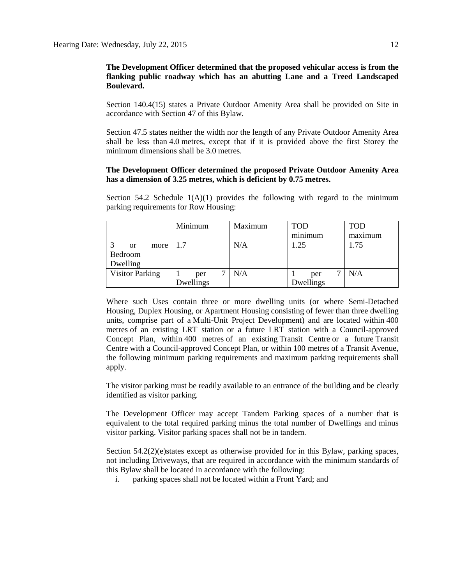# **The Development Officer determined that the proposed vehicular access is from the flanking public roadway which has an abutting Lane and a Treed Landscaped Boulevard.**

Section 140.4(15) states a Private Outdoor Amenity Area shall be provided on Site in accordance with Section 47 of this Bylaw.

Section 47.5 states neither the width nor the length of any Private Outdoor Amenity Area shall be less than 4.0 metres, except that if it is provided above the first Storey the minimum dimensions shall be 3.0 metres.

# **The Development Officer determined the proposed Private Outdoor Amenity Area has a dimension of 3.25 metres, which is deficient by 0.75 metres.**

Section 54.2 Schedule  $1(A)(1)$  provides the following with regard to the minimum parking requirements for Row Housing:

|                        | Minimum   | Maximum | <b>TOD</b> | <b>TOD</b> |
|------------------------|-----------|---------|------------|------------|
|                        |           |         | minimum    | maximum    |
| more<br><b>or</b>      | 1.7       | N/A     | 1.25       | 1.75       |
| Bedroom                |           |         |            |            |
| Dwelling               |           |         |            |            |
| <b>Visitor Parking</b> | per       | N/A     | per        | N/A        |
|                        | Dwellings |         | Dwellings  |            |

Where such Uses contain three or more dwelling units (or where Semi-Detached Housing, Duplex Housing, or Apartment Housing consisting of fewer than three dwelling units, comprise part of a Multi-Unit Project Development) and are located within 400 metres of an existing LRT station or a future LRT station with a Council-approved Concept Plan, within 400 metres of an existing Transit Centre or a future Transit Centre with a Council-approved Concept Plan, or within 100 metres of a Transit Avenue, the following minimum parking requirements and maximum parking requirements shall apply.

The visitor parking must be readily available to an entrance of the building and be clearly identified as visitor parking.

The Development Officer may accept Tandem Parking spaces of a number that is equivalent to the total required parking minus the total number of Dwellings and minus visitor parking. Visitor parking spaces shall not be in tandem.

Section 54.2(2)(e)states except as otherwise provided for in this Bylaw, parking spaces, not including Driveways, that are required in accordance with the minimum standards of this Bylaw shall be located in accordance with the following:

i. parking spaces shall not be located within a Front Yard; and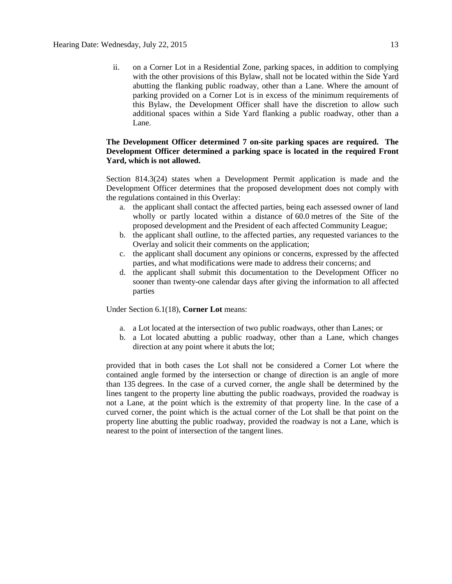ii. on a Corner Lot in a Residential Zone, parking spaces, in addition to complying with the other provisions of this Bylaw, shall not be located within the Side Yard abutting the flanking public roadway, other than a Lane. Where the amount of parking provided on a Corner Lot is in excess of the minimum requirements of this Bylaw, the Development Officer shall have the discretion to allow such additional spaces within a Side Yard flanking a public roadway, other than a Lane.

# **The Development Officer determined 7 on-site parking spaces are required. The Development Officer determined a parking space is located in the required Front Yard, which is not allowed.**

Section 814.3(24) states when a Development Permit application is made and the Development Officer determines that the proposed development does not comply with the regulations contained in this Overlay:

- a. the applicant shall contact the affected parties, being each assessed owner of land wholly or partly located within a distance of 60.0 metres of the Site of the proposed development and the President of each affected Community League;
- b. the applicant shall outline, to the affected parties, any requested variances to the Overlay and solicit their comments on the application;
- c. the applicant shall document any opinions or concerns, expressed by the affected parties, and what modifications were made to address their concerns; and
- d. the applicant shall submit this documentation to the Development Officer no sooner than twenty-one calendar days after giving the information to all affected parties

Under Section 6.1(18), **Corner Lot** means:

- a. a Lot located at the intersection of two public roadways, other than Lanes; or
- b. a Lot located abutting a public roadway, other than a Lane, which changes direction at any point where it abuts the lot;

provided that in both cases the Lot shall not be considered a Corner Lot where the contained angle formed by the intersection or change of direction is an angle of more than 135 degrees. In the case of a curved corner, the angle shall be determined by the lines tangent to the property line abutting the public roadways, provided the roadway is not a Lane, at the point which is the extremity of that property line. In the case of a curved corner, the point which is the actual corner of the Lot shall be that point on the property line abutting the public roadway, provided the roadway is not a Lane, which is nearest to the point of intersection of the tangent lines.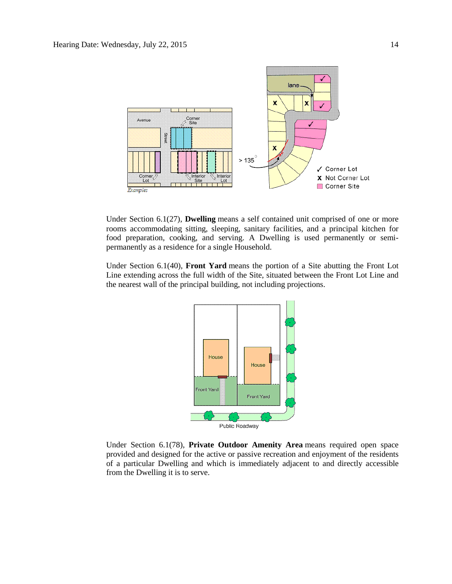

Under Section 6.1(27), **Dwelling** means a self contained unit comprised of one or more rooms accommodating sitting, sleeping, sanitary facilities, and a principal kitchen for food preparation, cooking, and serving. A Dwelling is used permanently or semipermanently as a residence for a single Household.

Under Section 6.1(40), **Front Yard** means the portion of a Site abutting the Front Lot Line extending across the full width of the Site, situated between the Front Lot Line and the nearest wall of the principal building, not including projections.



Under Section 6.1(78), **Private Outdoor Amenity Area** means required open space provided and designed for the active or passive recreation and enjoyment of the residents of a particular Dwelling and which is immediately adjacent to and directly accessible from the Dwelling it is to serve.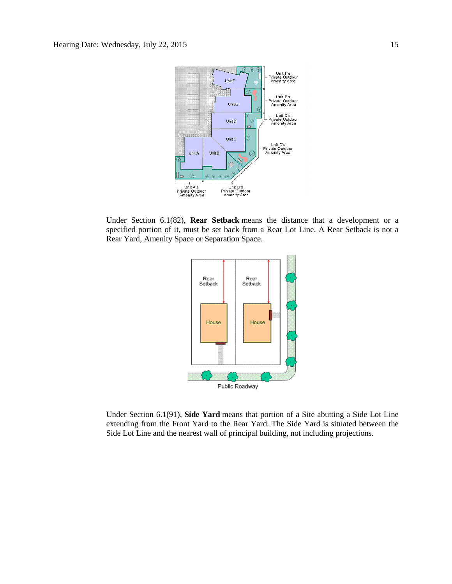

Under Section 6.1(82), **Rear Setback** means the distance that a development or a specified portion of it, must be set back from a Rear Lot Line. A Rear Setback is not a Rear Yard, Amenity Space or Separation Space.



Under Section 6.1(91), **Side Yard** means that portion of a Site abutting a Side Lot Line extending from the Front Yard to the Rear Yard. The Side Yard is situated between the Side Lot Line and the nearest wall of principal building, not including projections.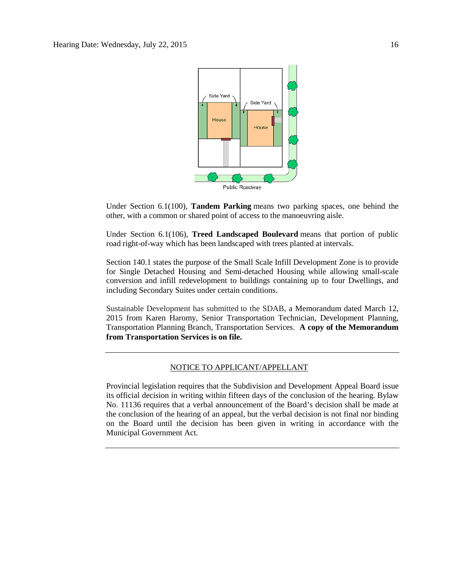

Under Section 6.1(100), **Tandem Parking** means two parking spaces, one behind the other, with a common or shared point of access to the manoeuvring aisle.

Under Section 6.1(106), **Treed Landscaped Boulevard** means that portion of public road right-of-way which has been landscaped with trees planted at intervals.

Section 140.1 states the purpose of the Small Scale Infill Development Zone is to provide for Single Detached Housing and Semi-detached Housing while allowing small-scale conversion and infill redevelopment to buildings containing up to four Dwellings, and including Secondary Suites under certain conditions.

Sustainable Development has submitted to the SDAB, a Memorandum dated March 12, 2015 from Karen Haromy, Senior Transportation Technician, Development Planning, Transportation Planning Branch, Transportation Services. **A copy of the Memorandum from Transportation Services is on file.**

### NOTICE TO APPLICANT/APPELLANT

Provincial legislation requires that the Subdivision and Development Appeal Board issue its official decision in writing within fifteen days of the conclusion of the hearing. Bylaw No. 11136 requires that a verbal announcement of the Board's decision shall be made at the conclusion of the hearing of an appeal, but the verbal decision is not final nor binding on the Board until the decision has been given in writing in accordance with the Municipal Government Act.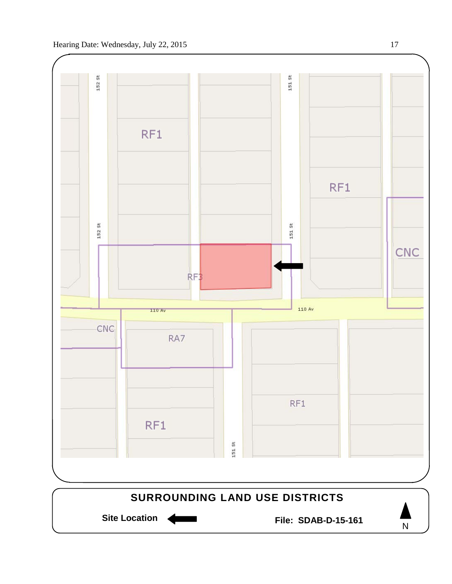